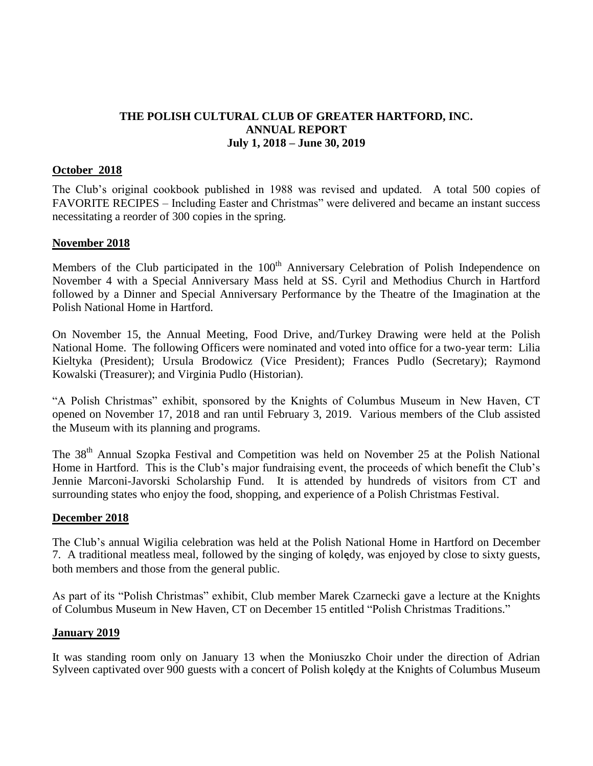# **THE POLISH CULTURAL CLUB OF GREATER HARTFORD, INC. ANNUAL REPORT July 1, 2018 – June 30, 2019**

#### **October 2018**

The Club's original cookbook published in 1988 was revised and updated. A total 500 copies of FAVORITE RECIPES – Including Easter and Christmas" were delivered and became an instant success necessitating a reorder of 300 copies in the spring.

#### **November 2018**

Members of the Club participated in the 100<sup>th</sup> Anniversary Celebration of Polish Independence on November 4 with a Special Anniversary Mass held at SS. Cyril and Methodius Church in Hartford followed by a Dinner and Special Anniversary Performance by the Theatre of the Imagination at the Polish National Home in Hartford.

On November 15, the Annual Meeting, Food Drive, and/Turkey Drawing were held at the Polish National Home. The following Officers were nominated and voted into office for a two-year term: Lilia Kieltyka (President); Ursula Brodowicz (Vice President); Frances Pudlo (Secretary); Raymond Kowalski (Treasurer); and Virginia Pudlo (Historian).

"A Polish Christmas" exhibit, sponsored by the Knights of Columbus Museum in New Haven, CT opened on November 17, 2018 and ran until February 3, 2019. Various members of the Club assisted the Museum with its planning and programs.

The 38<sup>th</sup> Annual Szopka Festival and Competition was held on November 25 at the Polish National Home in Hartford. This is the Club's major fundraising event, the proceeds of which benefit the Club's Jennie Marconi-Javorski Scholarship Fund. It is attended by hundreds of visitors from CT and surrounding states who enjoy the food, shopping, and experience of a Polish Christmas Festival.

### **December 2018**

The Club's annual Wigilia celebration was held at the Polish National Home in Hartford on December 7. A traditional meatless meal, followed by the singing of kolędy, was enjoyed by close to sixty guests, both members and those from the general public.

As part of its "Polish Christmas" exhibit, Club member Marek Czarnecki gave a lecture at the Knights of Columbus Museum in New Haven, CT on December 15 entitled "Polish Christmas Traditions."

### **January 2019**

It was standing room only on January 13 when the Moniuszko Choir under the direction of Adrian Sylveen captivated over 900 guests with a concert of Polish kolędy at the Knights of Columbus Museum